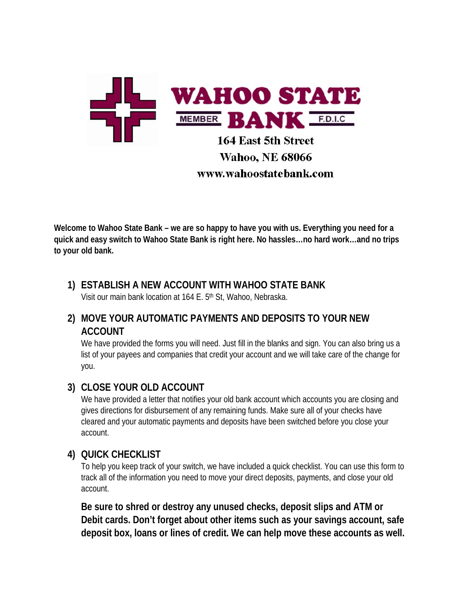

**Welcome to Wahoo State Bank – we are so happy to have you with us. Everything you need for a quick and easy switch to Wahoo State Bank is right here. No hassles…no hard work…and no trips to your old bank.**

## **1) ESTABLISH A NEW ACCOUNT WITH WAHOO STATE BANK**

Visit our main bank location at 164 E. 5<sup>th</sup> St, Wahoo, Nebraska.

## **2) MOVE YOUR AUTOMATIC PAYMENTS AND DEPOSITS TO YOUR NEW ACCOUNT**

We have provided the forms you will need. Just fill in the blanks and sign. You can also bring us a list of your payees and companies that credit your account and we will take care of the change for you.

## **3) CLOSE YOUR OLD ACCOUNT**

We have provided a letter that notifies your old bank account which accounts you are closing and gives directions for disbursement of any remaining funds. Make sure all of your checks have cleared and your automatic payments and deposits have been switched before you close your account.

## **4) QUICK CHECKLIST**

To help you keep track of your switch, we have included a quick checklist. You can use this form to track all of the information you need to move your direct deposits, payments, and close your old account.

**Be sure to shred or destroy any unused checks, deposit slips and ATM or Debit cards. Don't forget about other items such as your savings account, safe deposit box, loans or lines of credit. We can help move these accounts as well.**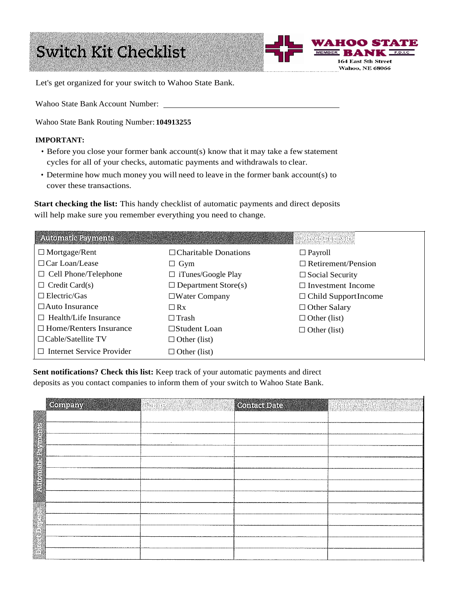# **Switch Kit Checklist**



Let's get organized for your switch to Wahoo State Bank.

Wahoo State Bank Account Number:

Wahoo State Bank Routing Number: **104913255**

### **IMPORTANT:**

- Before you close your former bank account(s) know that it may take a few statement cycles for all of your checks, automatic payments and withdrawals to clear.
- Determine how much money you will need to leave in the former bank account(s) to cover these transactions.

**Start checking the list:** This handy checklist of automatic payments and direct deposits will help make sure you remember everything you need to change.

| <b>Automate Pymans</b>        |                             | <b>SORANDO DE SIGNIE</b> S  |
|-------------------------------|-----------------------------|-----------------------------|
| $\Box$ Mortgage/Rent          | $\Box$ Charitable Donations | $\Box$ Payroll              |
| $\Box$ Car Loan/Lease         | $\Box$ Gym                  | $\Box$ Retirement/Pension   |
| $\Box$ Cell Phone/Telephone   | $\Box$ iTunes/Google Play   | $\Box$ Social Security      |
| $\Box$ Credit Card(s)         | $\Box$ Department Store(s)  | $\Box$ Investment Income    |
| $\Box$ Electric/Gas           | $\Box$ Water Company        | $\Box$ Child Support Income |
| $\Box$ Auto Insurance         | $\Box$ Rx                   | $\Box$ Other Salary         |
| $\Box$ Health/Life Insurance  | $\Box$ Trash                | $\Box$ Other (list)         |
| $\Box$ Home/Renters Insurance | $\Box$ Student Loan         | $\Box$ Other (list)         |
| $\Box$ Cable/Satellite TV     | $\Box$ Other (list)         |                             |
| Internet Service Provider     | $\Box$ Other (list)         |                             |

Sent notifications? Check this list: Keep track of your automatic payments and direct deposits as you contact companies to inform them of your switch to Wahoo State Bank.

|                      | <b>Company</b> | Pasar   | <b>Contact Date</b> | $\label{eq:3.1} \inf\{\operatorname{q\acute{e}a}\mathrm{tr}(x,\theta)\} \, \mathrm{d} x \leq \varepsilon \qquad \qquad \varepsilon \in \mathbb{R}$ |
|----------------------|----------------|---------|---------------------|----------------------------------------------------------------------------------------------------------------------------------------------------|
|                      |                |         |                     |                                                                                                                                                    |
|                      |                |         |                     |                                                                                                                                                    |
|                      |                | $\cdot$ |                     |                                                                                                                                                    |
| Antoniziic Payracits |                |         |                     |                                                                                                                                                    |
|                      |                |         |                     |                                                                                                                                                    |
|                      |                |         |                     |                                                                                                                                                    |
|                      |                |         |                     |                                                                                                                                                    |
|                      |                |         |                     |                                                                                                                                                    |
|                      |                |         |                     |                                                                                                                                                    |
|                      |                |         |                     |                                                                                                                                                    |
|                      |                |         |                     |                                                                                                                                                    |
|                      |                |         |                     |                                                                                                                                                    |
|                      |                |         |                     |                                                                                                                                                    |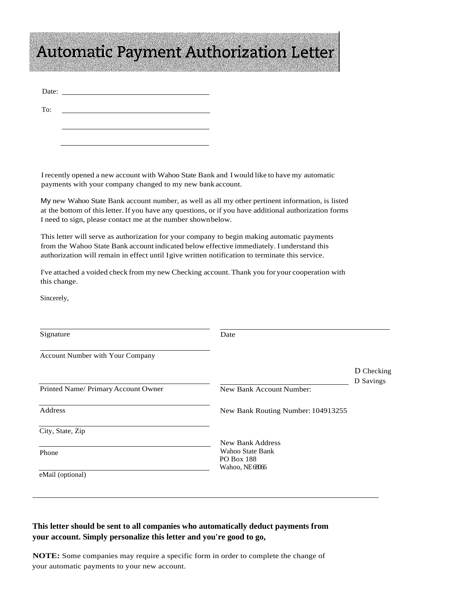## **Automatic Payment Authorization Letter**

Date:

To:

Irecently opened a new account with Wahoo State Bank and Iwould like to have my automatic payments with your company changed to my new bank account.

My new Wahoo State Bank account number, as well as all my other pertinent information, is listed at the bottom of thisletter. If you have any questions, or if you have additional authorization forms I need to sign, please contact me at the number shownbelow.

This letter will serve as authorization for your company to begin making automatic payments from the Wahoo State Bank account indicated below effective immediately. I understand this authorization will remain in effect until Igive written notification to terminate this service.

I've attached a voided check from my new Checking account. Thank you for your cooperation with this change.

Sincerely,

| Signature                           | Date                                                    |                         |
|-------------------------------------|---------------------------------------------------------|-------------------------|
| Account Number with Your Company    |                                                         |                         |
|                                     |                                                         | D Checking<br>D Savings |
| Printed Name/ Primary Account Owner | New Bank Account Number:                                |                         |
| Address                             | New Bank Routing Number: 104913255                      |                         |
| City, State, Zip                    |                                                         |                         |
|                                     | New Bank Address                                        |                         |
| Phone                               | Wahoo State Bank<br><b>PO Box 188</b><br>Wahoo, NE68066 |                         |
| eMail (optional)                    |                                                         |                         |
|                                     |                                                         |                         |

### **This letter should be sent to all companies who automatically deduct payments from your account. Simply personalize this letter and you're good to go,**

**NOTE:** Some companies may require a specific form in order to complete the change of your automatic payments to your new account.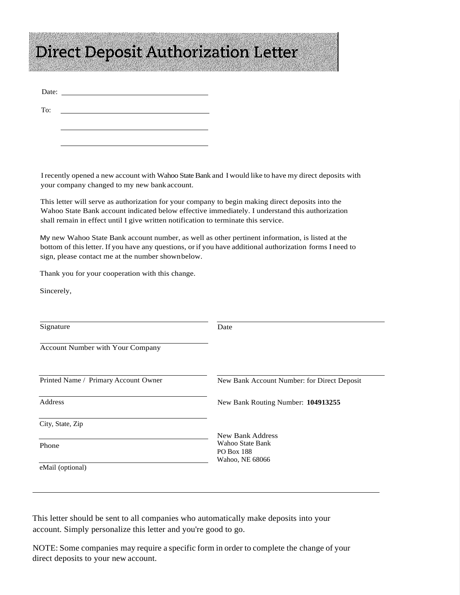## **Direct Deposit Authorization Letter**

Date:

To:

Irecently opened a new account with Wahoo State Bank and I would like to have my direct deposits with your company changed to my new bank account.

This letter will serve as authorization for your company to begin making direct deposits into the Wahoo State Bank account indicated below effective immediately. I understand this authorization shall remain in effect until I give written notification to terminate this service.

My new Wahoo State Bank account number, as well as other pertinent information, is listed at the bottom of thisletter. If you have any questions, orif you have additional authorization forms I need to sign, please contact me at the number shownbelow.

Thank you for your cooperation with this change.

Sincerely,

| Signature                            | Date                                                                         |
|--------------------------------------|------------------------------------------------------------------------------|
| Account Number with Your Company     |                                                                              |
| Printed Name / Primary Account Owner | New Bank Account Number: for Direct Deposit                                  |
| Address                              | New Bank Routing Number: 104913255                                           |
| City, State, Zip                     |                                                                              |
| Phone                                | New Bank Address<br>Wahoo State Bank<br><b>PO Box 188</b><br>Wahoo, NE 68066 |
| eMail (optional)                     |                                                                              |

This letter should be sent to all companies who automatically make deposits into your account. Simply personalize this letter and you're good to go.

NOTE: Some companies may require a specific form in order to complete the change of your direct deposits to your new account.